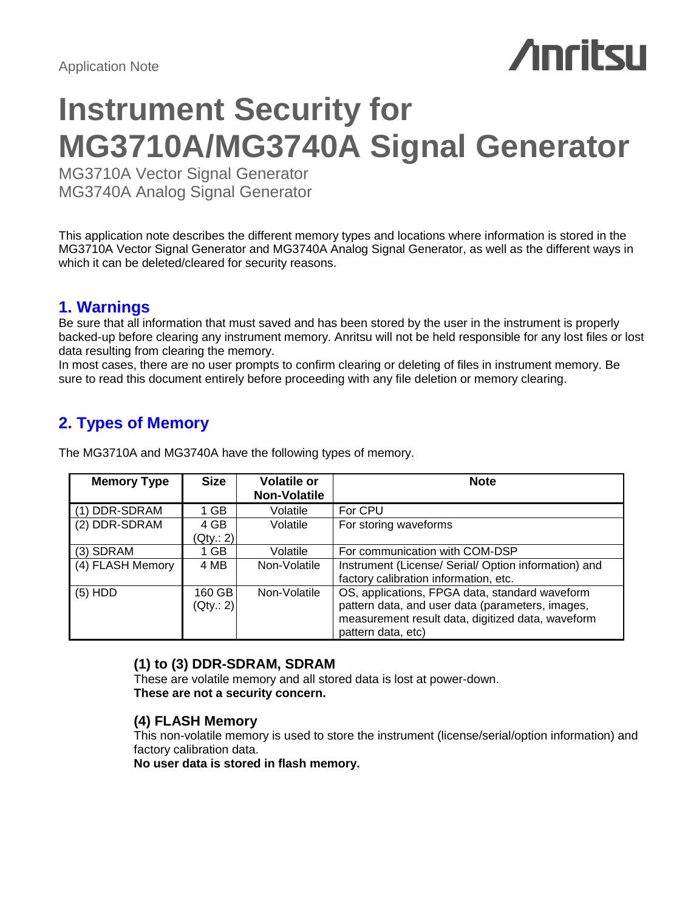## *Anritsu*

## **Instrument Security for MG3710A/MG3740A Signal Generator**

MG3710A Vector Signal Generator MG3740A Analog Signal Generator

This application note describes the different memory types and locations where information is stored in the MG3710A Vector Signal Generator and MG3740A Analog Signal Generator, as well as the different ways in which it can be deleted/cleared for security reasons.

## **1. Warnings**

Be sure that all information that must saved and has been stored by the user in the instrument is properly backed-up before clearing any instrument memory. Anritsu will not be held responsible for any lost files or lost data resulting from clearing the memory.

In most cases, there are no user prompts to confirm clearing or deleting of files in instrument memory. Be sure to read this document entirely before proceeding with any file deletion or memory clearing.

## **2. Types of Memory**

| <b>Memory Type</b> | <b>Size</b> | <b>Volatile or</b><br><b>Non-Volatile</b> | <b>Note</b>                                          |
|--------------------|-------------|-------------------------------------------|------------------------------------------------------|
| (1) DDR-SDRAM      | 1 GB        | Volatile                                  | For CPU                                              |
| (2) DDR-SDRAM      | 4 GB        | Volatile                                  | For storing waveforms                                |
|                    | (Qty.: 2)   |                                           |                                                      |
| $(3)$ SDRAM        | 1 GB        | Volatile                                  | For communication with COM-DSP                       |
| (4) FLASH Memory   | 4 MB        | Non-Volatile                              | Instrument (License/ Serial/ Option information) and |
|                    |             |                                           | factory calibration information, etc.                |
| $(5)$ HDD          | 160 GB      | Non-Volatile                              | OS, applications, FPGA data, standard waveform       |
|                    | (Qty: 2)    |                                           | pattern data, and user data (parameters, images,     |
|                    |             |                                           | measurement result data, digitized data, waveform    |
|                    |             |                                           | pattern data, etc)                                   |

The MG3710A and MG3740A have the following types of memory.

## **(1) to (3) DDR-SDRAM, SDRAM**

These are volatile memory and all stored data is lost at power-down. **These are not a security concern.**

## **(4) FLASH Memory**

This non-volatile memory is used to store the instrument (license/serial/option information) and factory calibration data.

**No user data is stored in flash memory.**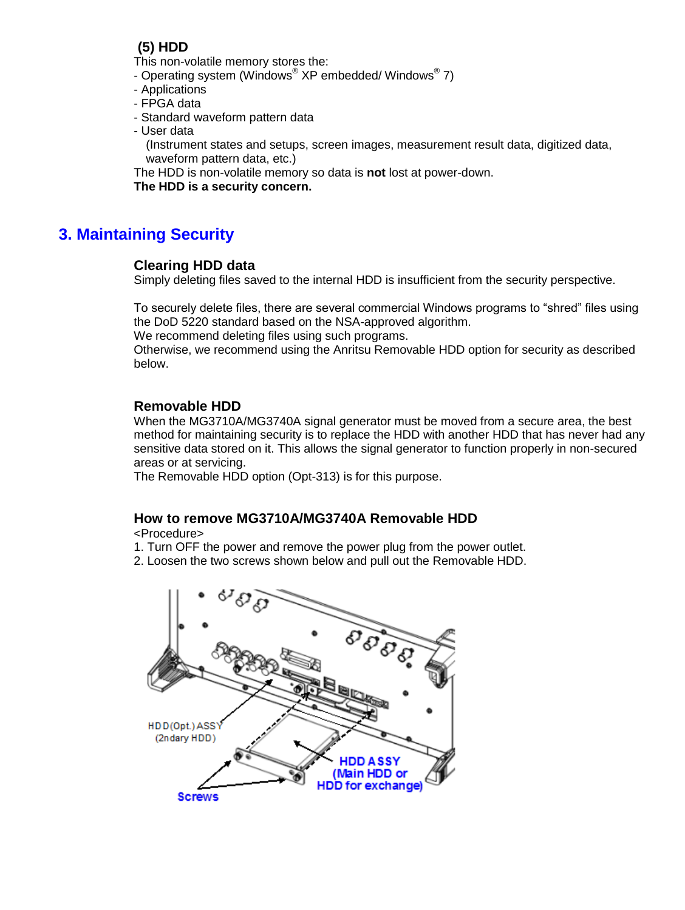## **(5) HDD**

This non-volatile memory stores the:

- Operating system (Windows® XP embedded/ Windows® 7)
- Applications
- FPGA data
- Standard waveform pattern data
- User data

(Instrument states and setups, screen images, measurement result data, digitized data, waveform pattern data, etc.)

The HDD is non-volatile memory so data is **not** lost at power-down.

**The HDD is a security concern.**

## **3. Maintaining Security**

## **Clearing HDD data**

Simply deleting files saved to the internal HDD is insufficient from the security perspective.

To securely delete files, there are several commercial Windows programs to "shred" files using the DoD 5220 standard based on the NSA-approved algorithm.

We recommend deleting files using such programs.

Otherwise, we recommend using the Anritsu Removable HDD option for security as described below.

## **Removable HDD**

When the MG3710A/MG3740A signal generator must be moved from a secure area, the best method for maintaining security is to replace the HDD with another HDD that has never had any sensitive data stored on it. This allows the signal generator to function properly in non-secured areas or at servicing.

The Removable HDD option (Opt-313) is for this purpose.

## **How to remove MG3710A/MG3740A Removable HDD**

<Procedure>

1. Turn OFF the power and remove the power plug from the power outlet.

2. Loosen the two screws shown below and pull out the Removable HDD.